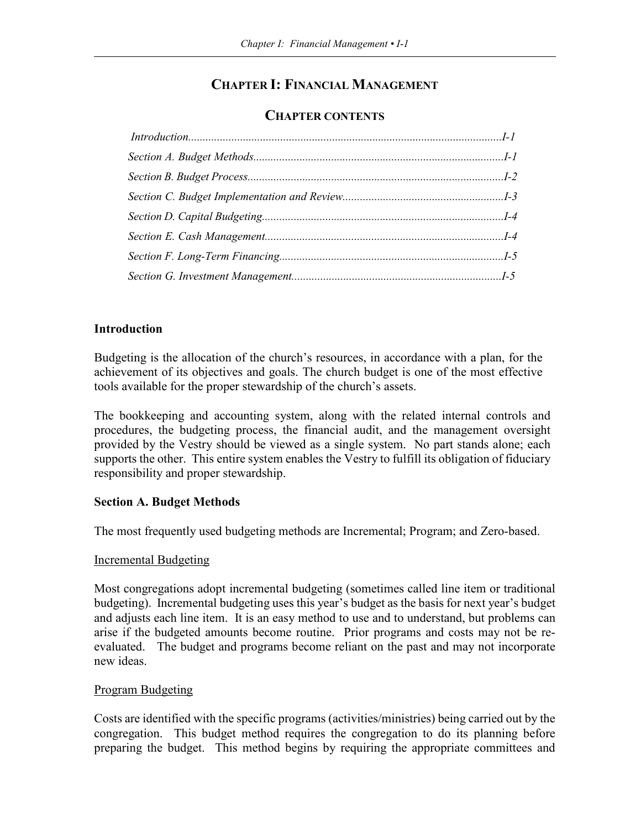# **CHAPTER I: FINANCIAL MANAGEMENT**

# **CHAPTER CONTENTS**

# **Introduction**

Budgeting is the allocation of the church's resources, in accordance with a plan, for the achievement of its objectives and goals. The church budget is one of the most effective tools available for the proper stewardship of the church's assets.

The bookkeeping and accounting system, along with the related internal controls and procedures, the budgeting process, the financial audit, and the management oversight provided by the Vestry should be viewed as a single system. No part stands alone; each supports the other. This entire system enables the Vestry to fulfill its obligation of fiduciary responsibility and proper stewardship.

# **Section A. Budget Methods**

The most frequently used budgeting methods are Incremental; Program; and Zero-based.

# Incremental Budgeting

Most congregations adopt incremental budgeting (sometimes called line item or traditional budgeting). Incremental budgeting uses this year's budget as the basis for next year's budget and adjusts each line item. It is an easy method to use and to understand, but problems can arise if the budgeted amounts become routine. Prior programs and costs may not be reevaluated. The budget and programs become reliant on the past and may not incorporate new ideas.

# Program Budgeting

Costs are identified with the specific programs (activities/ministries) being carried out by the congregation. This budget method requires the congregation to do its planning before preparing the budget. This method begins by requiring the appropriate committees and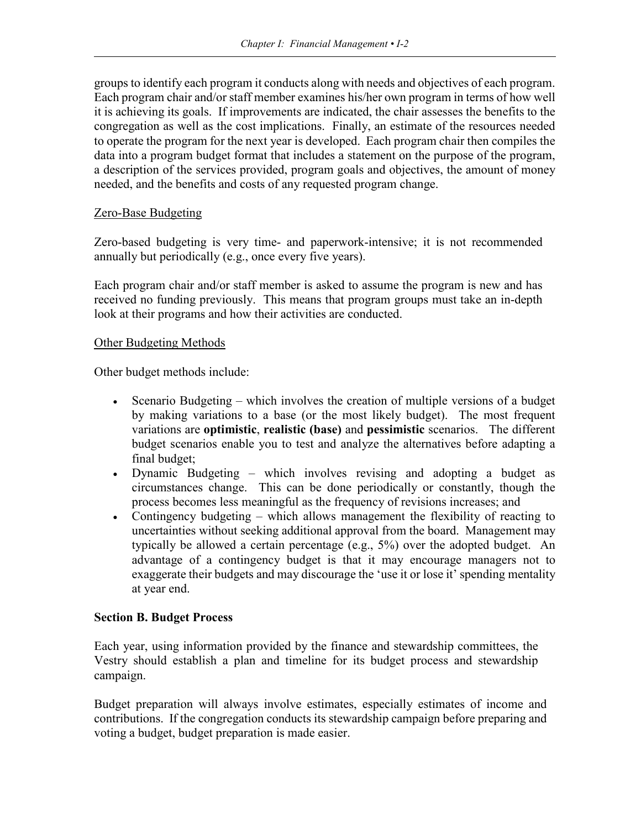groups to identify each program it conducts along with needs and objectives of each program. Each program chair and/or staff member examines his/her own program in terms of how well it is achieving its goals. If improvements are indicated, the chair assesses the benefits to the congregation as well as the cost implications. Finally, an estimate of the resources needed to operate the program for the next year is developed. Each program chair then compiles the data into a program budget format that includes a statement on the purpose of the program, a description of the services provided, program goals and objectives, the amount of money needed, and the benefits and costs of any requested program change.

### Zero-Base Budgeting

Zero-based budgeting is very time- and paperwork-intensive; it is not recommended annually but periodically (e.g., once every five years).

Each program chair and/or staff member is asked to assume the program is new and has received no funding previously. This means that program groups must take an in-depth look at their programs and how their activities are conducted.

#### Other Budgeting Methods

Other budget methods include:

- Scenario Budgeting which involves the creation of multiple versions of a budget by making variations to a base (or the most likely budget). The most frequent variations are **optimistic**, **realistic (base)** and **pessimistic** scenarios. The different budget scenarios enable you to test and analyze the alternatives before adapting a final budget;
- Dynamic Budgeting which involves revising and adopting a budget as circumstances change. This can be done periodically or constantly, though the process becomes less meaningful as the frequency of revisions increases; and
- Contingency budgeting which allows management the flexibility of reacting to uncertainties without seeking additional approval from the board. Management may typically be allowed a certain percentage (e.g., 5%) over the adopted budget. An advantage of a contingency budget is that it may encourage managers not to exaggerate their budgets and may discourage the 'use it or lose it' spending mentality at year end.

#### **Section B. Budget Process**

Each year, using information provided by the finance and stewardship committees, the Vestry should establish a plan and timeline for its budget process and stewardship campaign.

Budget preparation will always involve estimates, especially estimates of income and contributions. If the congregation conducts its stewardship campaign before preparing and voting a budget, budget preparation is made easier.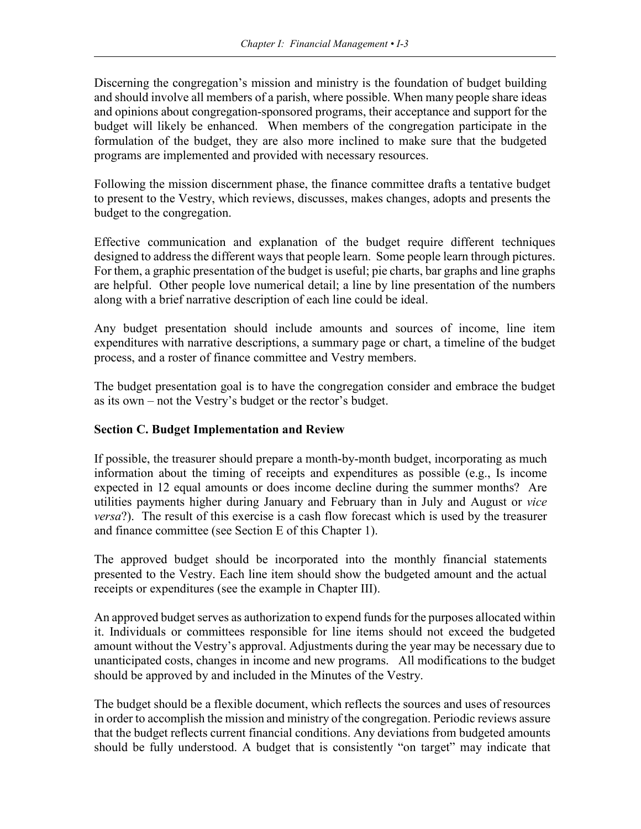Discerning the congregation's mission and ministry is the foundation of budget building and should involve all members of a parish, where possible. When many people share ideas and opinions about congregation-sponsored programs, their acceptance and support for the budget will likely be enhanced. When members of the congregation participate in the formulation of the budget, they are also more inclined to make sure that the budgeted programs are implemented and provided with necessary resources.

Following the mission discernment phase, the finance committee drafts a tentative budget to present to the Vestry, which reviews, discusses, makes changes, adopts and presents the budget to the congregation.

Effective communication and explanation of the budget require different techniques designed to address the different ways that people learn. Some people learn through pictures. For them, a graphic presentation of the budget is useful; pie charts, bar graphs and line graphs are helpful. Other people love numerical detail; a line by line presentation of the numbers along with a brief narrative description of each line could be ideal.

Any budget presentation should include amounts and sources of income, line item expenditures with narrative descriptions, a summary page or chart, a timeline of the budget process, and a roster of finance committee and Vestry members.

The budget presentation goal is to have the congregation consider and embrace the budget as its own – not the Vestry's budget or the rector's budget.

# **Section C. Budget Implementation and Review**

If possible, the treasurer should prepare a month-by-month budget, incorporating as much information about the timing of receipts and expenditures as possible (e.g., Is income expected in 12 equal amounts or does income decline during the summer months? Are utilities payments higher during January and February than in July and August or *vice versa*?). The result of this exercise is a cash flow forecast which is used by the treasurer and finance committee (see Section E of this Chapter 1).

The approved budget should be incorporated into the monthly financial statements presented to the Vestry. Each line item should show the budgeted amount and the actual receipts or expenditures (see the example in Chapter III).

An approved budget serves as authorization to expend funds for the purposes allocated within it. Individuals or committees responsible for line items should not exceed the budgeted amount without the Vestry's approval. Adjustments during the year may be necessary due to unanticipated costs, changes in income and new programs. All modifications to the budget should be approved by and included in the Minutes of the Vestry.

The budget should be a flexible document, which reflects the sources and uses of resources in order to accomplish the mission and ministry of the congregation. Periodic reviews assure that the budget reflects current financial conditions. Any deviations from budgeted amounts should be fully understood. A budget that is consistently "on target" may indicate that